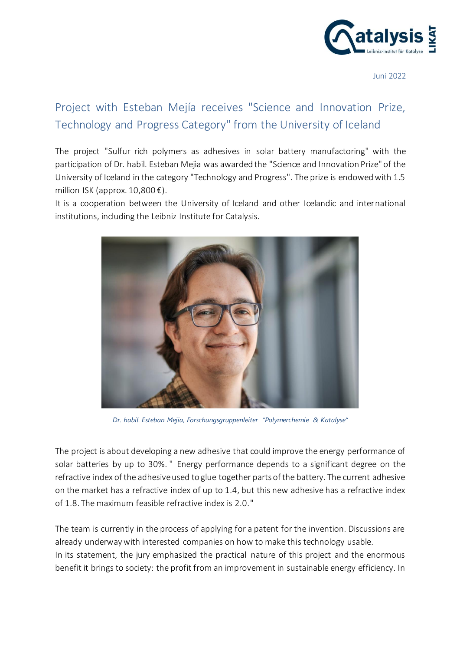

Juni 2022

## Project with Esteban Mejía receives "Science and Innovation Prize, Technology and Progress Category" from the University of Iceland

The project "Sulfur rich polymers as adhesives in solar battery manufactoring" with the participation of Dr. habil. Esteban Mejìa was awarded the "Science and Innovation Prize" of the University of Iceland in the category "Technology and Progress". The prize is endowed with 1.5 million ISK (approx.  $10,800 \in$ ).

It is a cooperation between the University of Iceland and other Icelandic and international institutions, including the Leibniz Institute for Catalysis.



*Dr. habil. Esteban Mejia, Forschungsgruppenleiter "Polymerchemie & Katalyse"*

The project is about developing a new adhesive that could improve the energy performance of solar batteries by up to 30%. " Energy performance depends to a significant degree on the refractive index of the adhesive used to glue together parts of the battery. The current adhesive on the market has a refractive index of up to 1.4, but this new adhesive has a refractive index of 1.8. The maximum feasible refractive index is 2.0."

The team is currently in the process of applying for a patent for the invention. Discussions are already underway with interested companies on how to make this technology usable. In its statement, the jury emphasized the practical nature of this project and the enormous benefit it brings to society: the profit from an improvement in sustainable energy efficiency. In